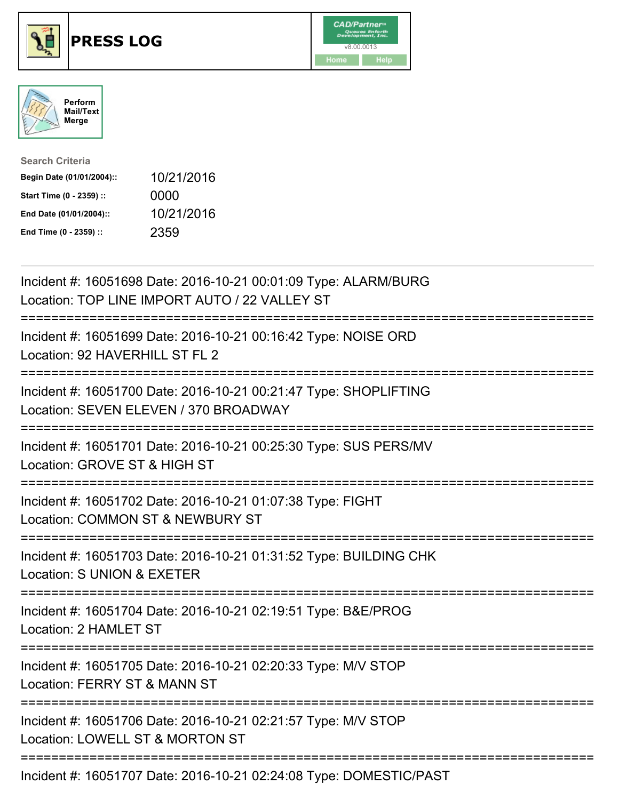





| <b>Search Criteria</b>    |            |
|---------------------------|------------|
| Begin Date (01/01/2004):: | 10/21/2016 |
| Start Time (0 - 2359) ::  | 0000       |
| End Date (01/01/2004)::   | 10/21/2016 |
| End Time (0 - 2359) ::    | 2359       |

| Incident #: 16051698 Date: 2016-10-21 00:01:09 Type: ALARM/BURG<br>Location: TOP LINE IMPORT AUTO / 22 VALLEY ST                             |
|----------------------------------------------------------------------------------------------------------------------------------------------|
| Incident #: 16051699 Date: 2016-10-21 00:16:42 Type: NOISE ORD<br>Location: 92 HAVERHILL ST FL 2                                             |
| Incident #: 16051700 Date: 2016-10-21 00:21:47 Type: SHOPLIFTING<br>Location: SEVEN ELEVEN / 370 BROADWAY                                    |
| Incident #: 16051701 Date: 2016-10-21 00:25:30 Type: SUS PERS/MV<br>Location: GROVE ST & HIGH ST                                             |
| Incident #: 16051702 Date: 2016-10-21 01:07:38 Type: FIGHT<br>Location: COMMON ST & NEWBURY ST<br>:===========================               |
| Incident #: 16051703 Date: 2016-10-21 01:31:52 Type: BUILDING CHK<br>Location: S UNION & EXETER                                              |
| Incident #: 16051704 Date: 2016-10-21 02:19:51 Type: B&E/PROG<br>Location: 2 HAMLET ST                                                       |
| Incident #: 16051705 Date: 2016-10-21 02:20:33 Type: M/V STOP<br>Location: FERRY ST & MANN ST<br>------------------------<br>--------------- |
| Incident #: 16051706 Date: 2016-10-21 02:21:57 Type: M/V STOP<br>Location: LOWELL ST & MORTON ST                                             |
| Incident #: 16051707 Date: 2016-10-21 02:24:08 Type: DOMESTIC/PAST                                                                           |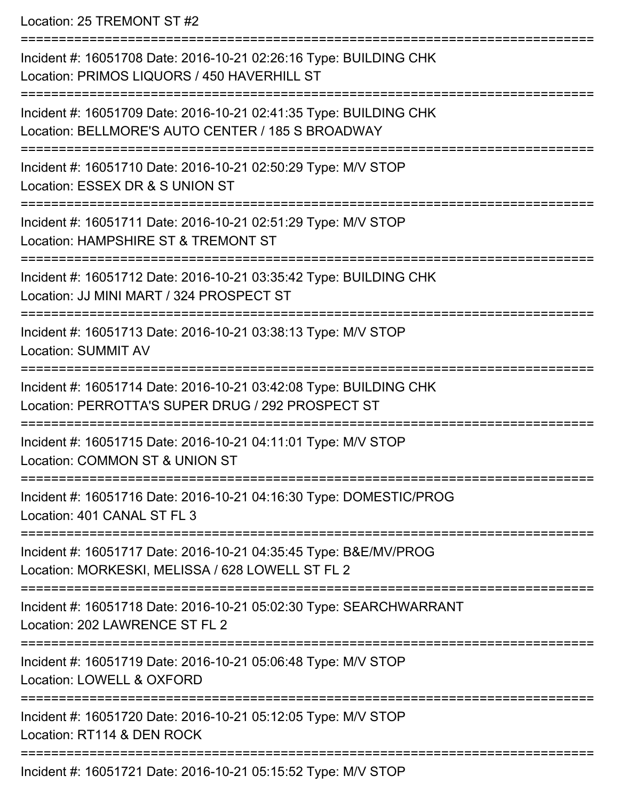Location: 25 TREMONT ST #2

=========================================================================== Incident #: 16051708 Date: 2016-10-21 02:26:16 Type: BUILDING CHK Location: PRIMOS LIQUORS / 450 HAVERHILL ST =========================================================================== Incident #: 16051709 Date: 2016-10-21 02:41:35 Type: BUILDING CHK Location: BELLMORE'S AUTO CENTER / 185 S BROADWAY =========================================================================== Incident #: 16051710 Date: 2016-10-21 02:50:29 Type: M/V STOP Location: ESSEX DR & S UNION ST =========================================================================== Incident #: 16051711 Date: 2016-10-21 02:51:29 Type: M/V STOP Location: HAMPSHIRE ST & TREMONT ST **=========================** Incident #: 16051712 Date: 2016-10-21 03:35:42 Type: BUILDING CHK Location: JJ MINI MART / 324 PROSPECT ST =========================================================================== Incident #: 16051713 Date: 2016-10-21 03:38:13 Type: M/V STOP Location: SUMMIT AV =========================================================================== Incident #: 16051714 Date: 2016-10-21 03:42:08 Type: BUILDING CHK Location: PERROTTA'S SUPER DRUG / 292 PROSPECT ST =========================================================================== Incident #: 16051715 Date: 2016-10-21 04:11:01 Type: M/V STOP Location: COMMON ST & UNION ST =========================================================================== Incident #: 16051716 Date: 2016-10-21 04:16:30 Type: DOMESTIC/PROG Location: 401 CANAL ST FL 3 =========================================================================== Incident #: 16051717 Date: 2016-10-21 04:35:45 Type: B&E/MV/PROG Location: MORKESKI, MELISSA / 628 LOWELL ST FL 2 =========================================================================== Incident #: 16051718 Date: 2016-10-21 05:02:30 Type: SEARCHWARRANT Location: 202 LAWRENCE ST FL 2 =========================================================================== Incident #: 16051719 Date: 2016-10-21 05:06:48 Type: M/V STOP Location: LOWELL & OXFORD =========================================================================== Incident #: 16051720 Date: 2016-10-21 05:12:05 Type: M/V STOP Location: RT114 & DEN ROCK =========================================================================== Incident #: 16051721 Date: 2016-10-21 05:15:52 Type: M/V STOP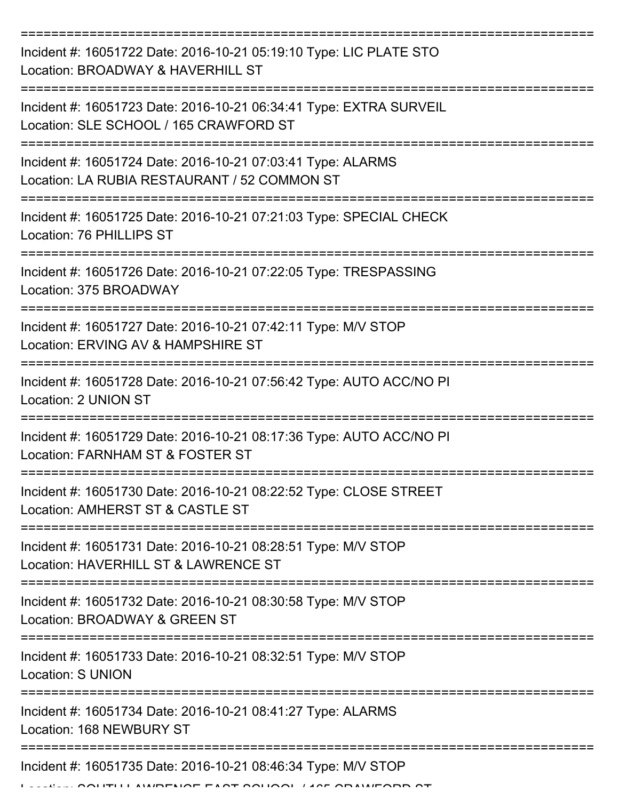| Incident #: 16051722 Date: 2016-10-21 05:19:10 Type: LIC PLATE STO<br>Location: BROADWAY & HAVERHILL ST      |
|--------------------------------------------------------------------------------------------------------------|
| Incident #: 16051723 Date: 2016-10-21 06:34:41 Type: EXTRA SURVEIL<br>Location: SLE SCHOOL / 165 CRAWFORD ST |
| Incident #: 16051724 Date: 2016-10-21 07:03:41 Type: ALARMS<br>Location: LA RUBIA RESTAURANT / 52 COMMON ST  |
| Incident #: 16051725 Date: 2016-10-21 07:21:03 Type: SPECIAL CHECK<br>Location: 76 PHILLIPS ST               |
| Incident #: 16051726 Date: 2016-10-21 07:22:05 Type: TRESPASSING<br>Location: 375 BROADWAY                   |
| Incident #: 16051727 Date: 2016-10-21 07:42:11 Type: M/V STOP<br>Location: ERVING AV & HAMPSHIRE ST          |
| Incident #: 16051728 Date: 2016-10-21 07:56:42 Type: AUTO ACC/NO PI<br>Location: 2 UNION ST                  |
| Incident #: 16051729 Date: 2016-10-21 08:17:36 Type: AUTO ACC/NO PI<br>Location: FARNHAM ST & FOSTER ST      |
| Incident #: 16051730 Date: 2016-10-21 08:22:52 Type: CLOSE STREET<br>Location: AMHERST ST & CASTLE ST        |
| Incident #: 16051731 Date: 2016-10-21 08:28:51 Type: M/V STOP<br>Location: HAVERHILL ST & LAWRENCE ST        |
| Incident #: 16051732 Date: 2016-10-21 08:30:58 Type: M/V STOP<br>Location: BROADWAY & GREEN ST               |
| Incident #: 16051733 Date: 2016-10-21 08:32:51 Type: M/V STOP<br><b>Location: S UNION</b>                    |
| Incident #: 16051734 Date: 2016-10-21 08:41:27 Type: ALARMS<br>Location: 168 NEWBURY ST                      |
| Incident #: 16051735 Date: 2016-10-21 08:46:34 Type: M/V STOP<br>ALLIDELIAE EA AT AALIAAL LAAF ADALLIEADD AT |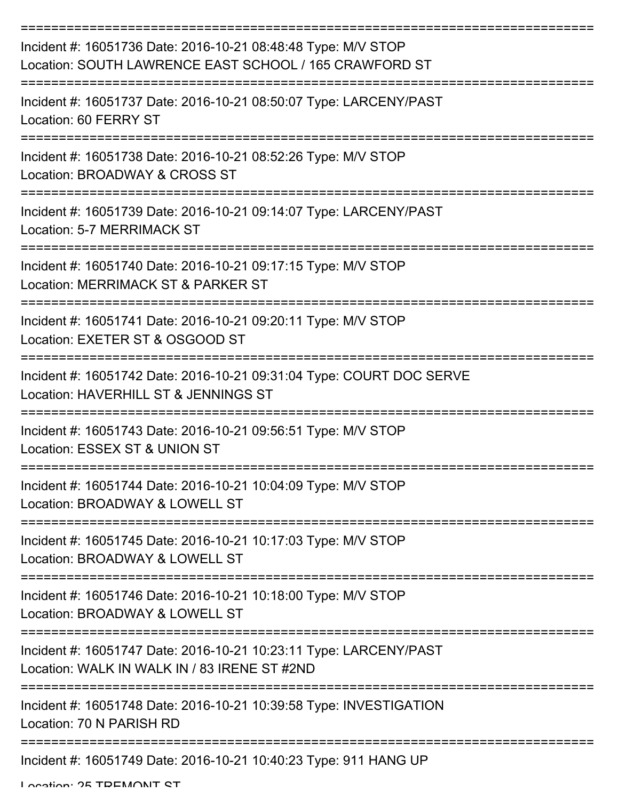| Incident #: 16051736 Date: 2016-10-21 08:48:48 Type: M/V STOP<br>Location: SOUTH LAWRENCE EAST SCHOOL / 165 CRAWFORD ST |
|-------------------------------------------------------------------------------------------------------------------------|
| Incident #: 16051737 Date: 2016-10-21 08:50:07 Type: LARCENY/PAST<br>Location: 60 FERRY ST                              |
| Incident #: 16051738 Date: 2016-10-21 08:52:26 Type: M/V STOP<br>Location: BROADWAY & CROSS ST                          |
| Incident #: 16051739 Date: 2016-10-21 09:14:07 Type: LARCENY/PAST<br>Location: 5-7 MERRIMACK ST                         |
| Incident #: 16051740 Date: 2016-10-21 09:17:15 Type: M/V STOP<br>Location: MERRIMACK ST & PARKER ST                     |
| Incident #: 16051741 Date: 2016-10-21 09:20:11 Type: M/V STOP<br>Location: EXETER ST & OSGOOD ST                        |
| Incident #: 16051742 Date: 2016-10-21 09:31:04 Type: COURT DOC SERVE<br>Location: HAVERHILL ST & JENNINGS ST            |
| Incident #: 16051743 Date: 2016-10-21 09:56:51 Type: M/V STOP<br>Location: ESSEX ST & UNION ST                          |
| Incident #: 16051744 Date: 2016-10-21 10:04:09 Type: M/V STOP<br>Location: BROADWAY & LOWELL ST                         |
| Incident #: 16051745 Date: 2016-10-21 10:17:03 Type: M/V STOP<br>Location: BROADWAY & LOWELL ST                         |
| Incident #: 16051746 Date: 2016-10-21 10:18:00 Type: M/V STOP<br>Location: BROADWAY & LOWELL ST                         |
| Incident #: 16051747 Date: 2016-10-21 10:23:11 Type: LARCENY/PAST<br>Location: WALK IN WALK IN / 83 IRENE ST #2ND       |
| Incident #: 16051748 Date: 2016-10-21 10:39:58 Type: INVESTIGATION<br>Location: 70 N PARISH RD                          |
| Incident #: 16051749 Date: 2016-10-21 10:40:23 Type: 911 HANG UP                                                        |

Location: 25 TDEMONIT CT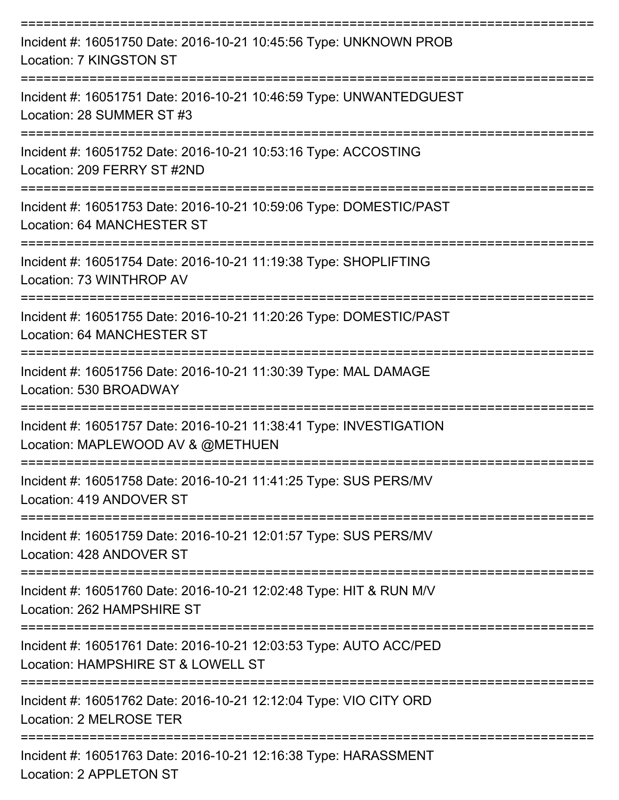| Incident #: 16051750 Date: 2016-10-21 10:45:56 Type: UNKNOWN PROB<br>Location: 7 KINGSTON ST                                |
|-----------------------------------------------------------------------------------------------------------------------------|
| Incident #: 16051751 Date: 2016-10-21 10:46:59 Type: UNWANTEDGUEST<br>Location: 28 SUMMER ST #3<br>================         |
| Incident #: 16051752 Date: 2016-10-21 10:53:16 Type: ACCOSTING<br>Location: 209 FERRY ST #2ND                               |
| Incident #: 16051753 Date: 2016-10-21 10:59:06 Type: DOMESTIC/PAST<br>Location: 64 MANCHESTER ST                            |
| Incident #: 16051754 Date: 2016-10-21 11:19:38 Type: SHOPLIFTING<br>Location: 73 WINTHROP AV                                |
| Incident #: 16051755 Date: 2016-10-21 11:20:26 Type: DOMESTIC/PAST<br>Location: 64 MANCHESTER ST<br>----------------------- |
| Incident #: 16051756 Date: 2016-10-21 11:30:39 Type: MAL DAMAGE<br>Location: 530 BROADWAY                                   |
| Incident #: 16051757 Date: 2016-10-21 11:38:41 Type: INVESTIGATION<br>Location: MAPLEWOOD AV & @METHUEN                     |
| Incident #: 16051758 Date: 2016-10-21 11:41:25 Type: SUS PERS/MV<br>Location: 419 ANDOVER ST                                |
| Incident #: 16051759 Date: 2016-10-21 12:01:57 Type: SUS PERS/MV<br>Location: 428 ANDOVER ST                                |
| Incident #: 16051760 Date: 2016-10-21 12:02:48 Type: HIT & RUN M/V<br>Location: 262 HAMPSHIRE ST                            |
| Incident #: 16051761 Date: 2016-10-21 12:03:53 Type: AUTO ACC/PED<br>Location: HAMPSHIRE ST & LOWELL ST                     |
| Incident #: 16051762 Date: 2016-10-21 12:12:04 Type: VIO CITY ORD<br>Location: 2 MELROSE TER                                |
| Incident #: 16051763 Date: 2016-10-21 12:16:38 Type: HARASSMENT<br>Location: 2 APPLETON ST                                  |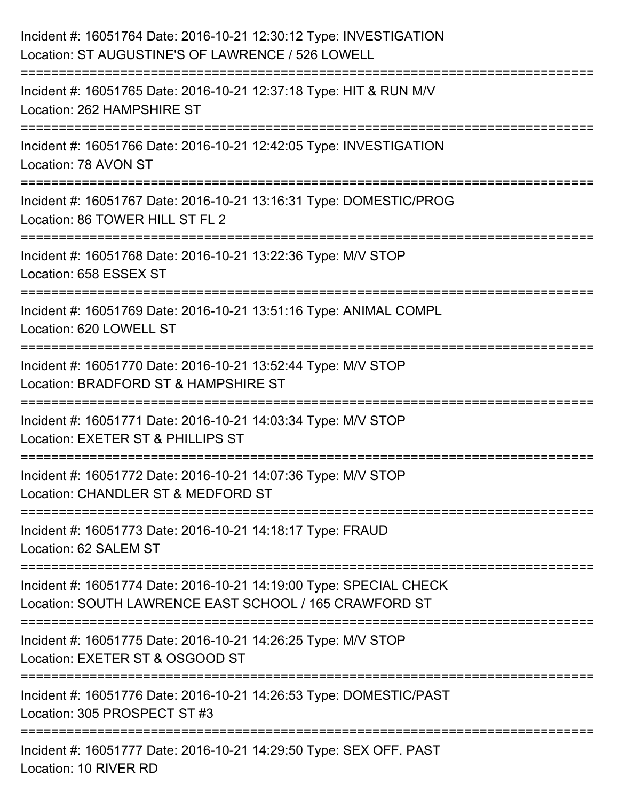| Incident #: 16051764 Date: 2016-10-21 12:30:12 Type: INVESTIGATION<br>Location: ST AUGUSTINE'S OF LAWRENCE / 526 LOWELL          |
|----------------------------------------------------------------------------------------------------------------------------------|
| Incident #: 16051765 Date: 2016-10-21 12:37:18 Type: HIT & RUN M/V<br>Location: 262 HAMPSHIRE ST                                 |
| Incident #: 16051766 Date: 2016-10-21 12:42:05 Type: INVESTIGATION<br>Location: 78 AVON ST                                       |
| Incident #: 16051767 Date: 2016-10-21 13:16:31 Type: DOMESTIC/PROG<br>Location: 86 TOWER HILL ST FL 2                            |
| Incident #: 16051768 Date: 2016-10-21 13:22:36 Type: M/V STOP<br>Location: 658 ESSEX ST                                          |
| Incident #: 16051769 Date: 2016-10-21 13:51:16 Type: ANIMAL COMPL<br>Location: 620 LOWELL ST                                     |
| Incident #: 16051770 Date: 2016-10-21 13:52:44 Type: M/V STOP<br>Location: BRADFORD ST & HAMPSHIRE ST<br>======================= |
| Incident #: 16051771 Date: 2016-10-21 14:03:34 Type: M/V STOP<br>Location: EXETER ST & PHILLIPS ST                               |
| Incident #: 16051772 Date: 2016-10-21 14:07:36 Type: M/V STOP<br>Location: CHANDLER ST & MEDFORD ST                              |
| Incident #: 16051773 Date: 2016-10-21 14:18:17 Type: FRAUD<br>Location: 62 SALEM ST                                              |
| Incident #: 16051774 Date: 2016-10-21 14:19:00 Type: SPECIAL CHECK<br>Location: SOUTH LAWRENCE EAST SCHOOL / 165 CRAWFORD ST     |
| Incident #: 16051775 Date: 2016-10-21 14:26:25 Type: M/V STOP<br>Location: EXETER ST & OSGOOD ST                                 |
| Incident #: 16051776 Date: 2016-10-21 14:26:53 Type: DOMESTIC/PAST<br>Location: 305 PROSPECT ST #3                               |
| Incident #: 16051777 Date: 2016-10-21 14:29:50 Type: SEX OFF. PAST<br>Location: 10 RIVER RD                                      |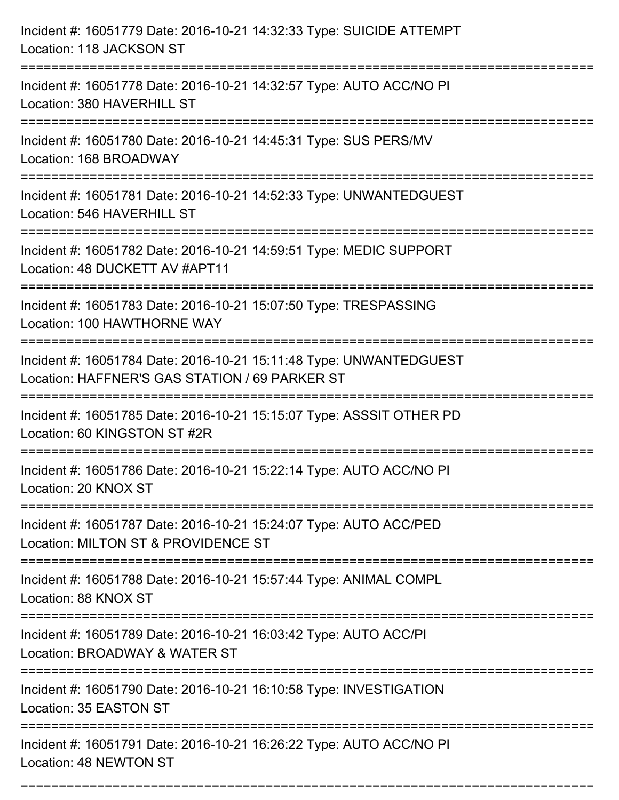| Incident #: 16051779 Date: 2016-10-21 14:32:33 Type: SUICIDE ATTEMPT<br>Location: 118 JACKSON ST                                                      |
|-------------------------------------------------------------------------------------------------------------------------------------------------------|
| Incident #: 16051778 Date: 2016-10-21 14:32:57 Type: AUTO ACC/NO PI<br>Location: 380 HAVERHILL ST                                                     |
| Incident #: 16051780 Date: 2016-10-21 14:45:31 Type: SUS PERS/MV<br>Location: 168 BROADWAY<br>===============================                         |
| Incident #: 16051781 Date: 2016-10-21 14:52:33 Type: UNWANTEDGUEST<br>Location: 546 HAVERHILL ST                                                      |
| Incident #: 16051782 Date: 2016-10-21 14:59:51 Type: MEDIC SUPPORT<br>Location: 48 DUCKETT AV #APT11                                                  |
| Incident #: 16051783 Date: 2016-10-21 15:07:50 Type: TRESPASSING<br>Location: 100 HAWTHORNE WAY                                                       |
| Incident #: 16051784 Date: 2016-10-21 15:11:48 Type: UNWANTEDGUEST<br>Location: HAFFNER'S GAS STATION / 69 PARKER ST<br>============================= |
| Incident #: 16051785 Date: 2016-10-21 15:15:07 Type: ASSSIT OTHER PD<br>Location: 60 KINGSTON ST #2R                                                  |
| Incident #: 16051786 Date: 2016-10-21 15:22:14 Type: AUTO ACC/NO PI<br>Location: 20 KNOX ST                                                           |
| Incident #: 16051787 Date: 2016-10-21 15:24:07 Type: AUTO ACC/PED<br>Location: MILTON ST & PROVIDENCE ST                                              |
| Incident #: 16051788 Date: 2016-10-21 15:57:44 Type: ANIMAL COMPL<br>Location: 88 KNOX ST                                                             |
| Incident #: 16051789 Date: 2016-10-21 16:03:42 Type: AUTO ACC/PI<br>Location: BROADWAY & WATER ST                                                     |
| Incident #: 16051790 Date: 2016-10-21 16:10:58 Type: INVESTIGATION<br>Location: 35 EASTON ST                                                          |
| Incident #: 16051791 Date: 2016-10-21 16:26:22 Type: AUTO ACC/NO PI<br>Location: 48 NEWTON ST                                                         |

===========================================================================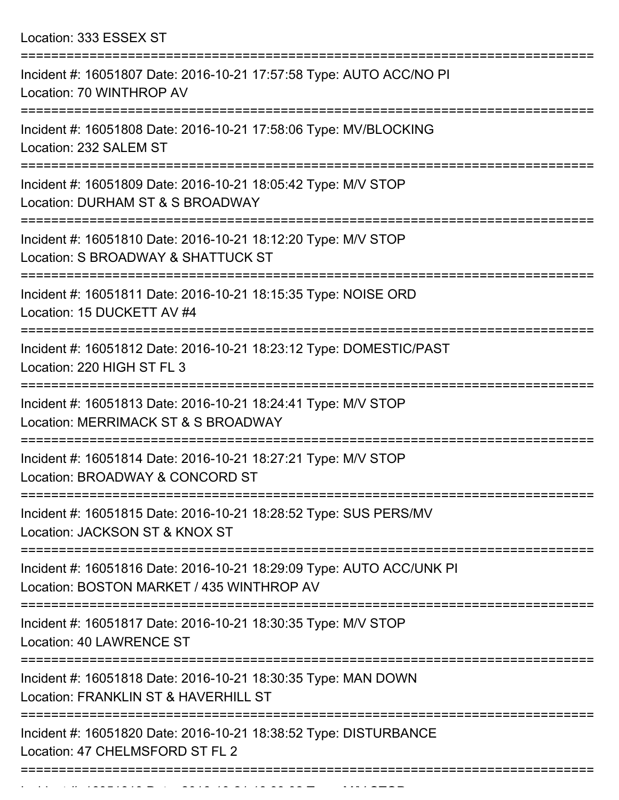Location: 333 ESSEX ST

| Incident #: 16051807 Date: 2016-10-21 17:57:58 Type: AUTO ACC/NO PI<br>Location: 70 WINTHROP AV                                      |
|--------------------------------------------------------------------------------------------------------------------------------------|
| Incident #: 16051808 Date: 2016-10-21 17:58:06 Type: MV/BLOCKING<br>Location: 232 SALEM ST                                           |
| Incident #: 16051809 Date: 2016-10-21 18:05:42 Type: M/V STOP<br>Location: DURHAM ST & S BROADWAY                                    |
| Incident #: 16051810 Date: 2016-10-21 18:12:20 Type: M/V STOP<br>Location: S BROADWAY & SHATTUCK ST                                  |
| Incident #: 16051811 Date: 2016-10-21 18:15:35 Type: NOISE ORD<br>Location: 15 DUCKETT AV #4                                         |
| Incident #: 16051812 Date: 2016-10-21 18:23:12 Type: DOMESTIC/PAST<br>Location: 220 HIGH ST FL 3                                     |
| Incident #: 16051813 Date: 2016-10-21 18:24:41 Type: M/V STOP<br>Location: MERRIMACK ST & S BROADWAY                                 |
| Incident #: 16051814 Date: 2016-10-21 18:27:21 Type: M/V STOP<br>Location: BROADWAY & CONCORD ST                                     |
| Incident #: 16051815 Date: 2016-10-21 18:28:52 Type: SUS PERS/MV<br>Location: JACKSON ST & KNOX ST                                   |
| ===============<br>Incident #: 16051816 Date: 2016-10-21 18:29:09 Type: AUTO ACC/UNK PI<br>Location: BOSTON MARKET / 435 WINTHROP AV |
| Incident #: 16051817 Date: 2016-10-21 18:30:35 Type: M/V STOP<br><b>Location: 40 LAWRENCE ST</b>                                     |
| Incident #: 16051818 Date: 2016-10-21 18:30:35 Type: MAN DOWN<br>Location: FRANKLIN ST & HAVERHILL ST                                |
| Incident #: 16051820 Date: 2016-10-21 18:38:52 Type: DISTURBANCE<br>Location: 47 CHELMSFORD ST FL 2                                  |
|                                                                                                                                      |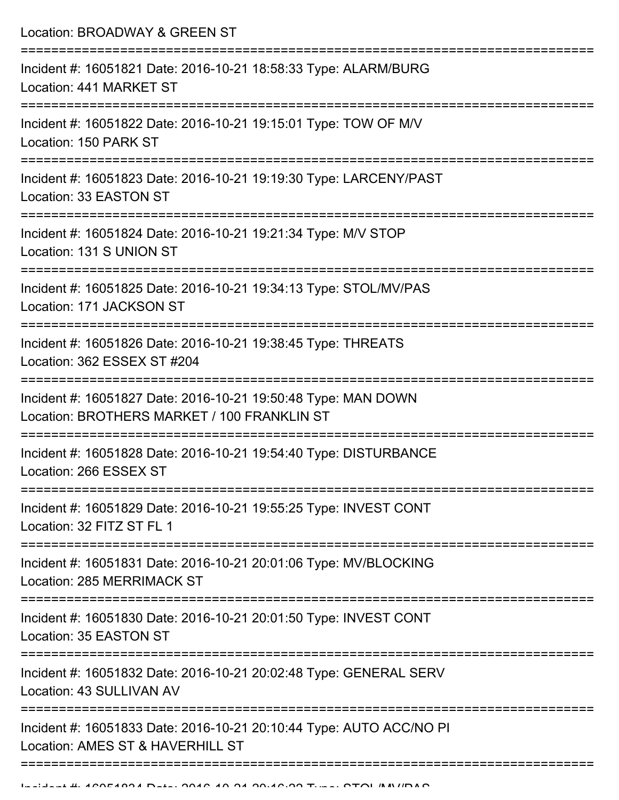| Location: BROADWAY & GREEN ST                                                                                |
|--------------------------------------------------------------------------------------------------------------|
| Incident #: 16051821 Date: 2016-10-21 18:58:33 Type: ALARM/BURG<br>Location: 441 MARKET ST                   |
| Incident #: 16051822 Date: 2016-10-21 19:15:01 Type: TOW OF M/V<br>Location: 150 PARK ST                     |
| Incident #: 16051823 Date: 2016-10-21 19:19:30 Type: LARCENY/PAST<br>Location: 33 EASTON ST                  |
| Incident #: 16051824 Date: 2016-10-21 19:21:34 Type: M/V STOP<br>Location: 131 S UNION ST                    |
| Incident #: 16051825 Date: 2016-10-21 19:34:13 Type: STOL/MV/PAS<br>Location: 171 JACKSON ST                 |
| Incident #: 16051826 Date: 2016-10-21 19:38:45 Type: THREATS<br>Location: 362 ESSEX ST #204                  |
| Incident #: 16051827 Date: 2016-10-21 19:50:48 Type: MAN DOWN<br>Location: BROTHERS MARKET / 100 FRANKLIN ST |
| Incident #: 16051828 Date: 2016-10-21 19:54:40 Type: DISTURBANCE<br>Location: 266 ESSEX ST                   |
| Incident #: 16051829 Date: 2016-10-21 19:55:25 Type: INVEST CONT<br>Location: 32 FITZ ST FL 1                |
| Incident #: 16051831 Date: 2016-10-21 20:01:06 Type: MV/BLOCKING<br>Location: 285 MERRIMACK ST               |
| Incident #: 16051830 Date: 2016-10-21 20:01:50 Type: INVEST CONT<br>Location: 35 EASTON ST                   |
| Incident #: 16051832 Date: 2016-10-21 20:02:48 Type: GENERAL SERV<br>Location: 43 SULLIVAN AV                |
| Incident #: 16051833 Date: 2016-10-21 20:10:44 Type: AUTO ACC/NO PI<br>Location: AMES ST & HAVERHILL ST      |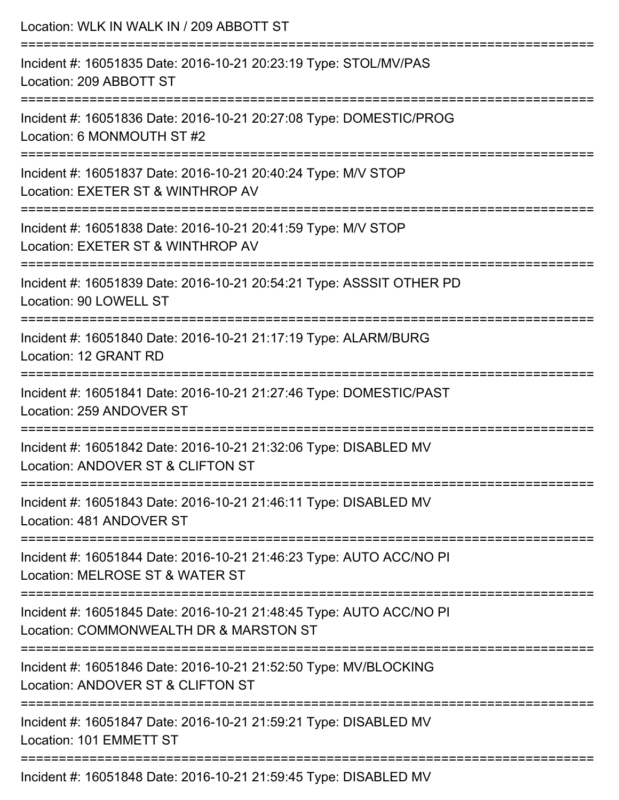| Location: WLK IN WALK IN / 209 ABBOTT ST                                                                                         |
|----------------------------------------------------------------------------------------------------------------------------------|
| Incident #: 16051835 Date: 2016-10-21 20:23:19 Type: STOL/MV/PAS<br>Location: 209 ABBOTT ST                                      |
| Incident #: 16051836 Date: 2016-10-21 20:27:08 Type: DOMESTIC/PROG<br>Location: 6 MONMOUTH ST #2                                 |
| Incident #: 16051837 Date: 2016-10-21 20:40:24 Type: M/V STOP<br>Location: EXETER ST & WINTHROP AV                               |
| Incident #: 16051838 Date: 2016-10-21 20:41:59 Type: M/V STOP<br>Location: EXETER ST & WINTHROP AV                               |
| Incident #: 16051839 Date: 2016-10-21 20:54:21 Type: ASSSIT OTHER PD<br>Location: 90 LOWELL ST                                   |
| Incident #: 16051840 Date: 2016-10-21 21:17:19 Type: ALARM/BURG<br>Location: 12 GRANT RD                                         |
| Incident #: 16051841 Date: 2016-10-21 21:27:46 Type: DOMESTIC/PAST<br>Location: 259 ANDOVER ST                                   |
| -----------------------<br>Incident #: 16051842 Date: 2016-10-21 21:32:06 Type: DISABLED MV<br>Location: ANDOVER ST & CLIFTON ST |
| Incident #: 16051843 Date: 2016-10-21 21:46:11 Type: DISABLED MV<br>Location: 481 ANDOVER ST                                     |
| Incident #: 16051844 Date: 2016-10-21 21:46:23 Type: AUTO ACC/NO PI<br>Location: MELROSE ST & WATER ST                           |
| Incident #: 16051845 Date: 2016-10-21 21:48:45 Type: AUTO ACC/NO PI<br>Location: COMMONWEALTH DR & MARSTON ST                    |
| Incident #: 16051846 Date: 2016-10-21 21:52:50 Type: MV/BLOCKING<br>Location: ANDOVER ST & CLIFTON ST                            |
| Incident #: 16051847 Date: 2016-10-21 21:59:21 Type: DISABLED MV<br>Location: 101 EMMETT ST                                      |
| Incident #: 16051848 Date: 2016-10-21 21:59:45 Type: DISABLED MV                                                                 |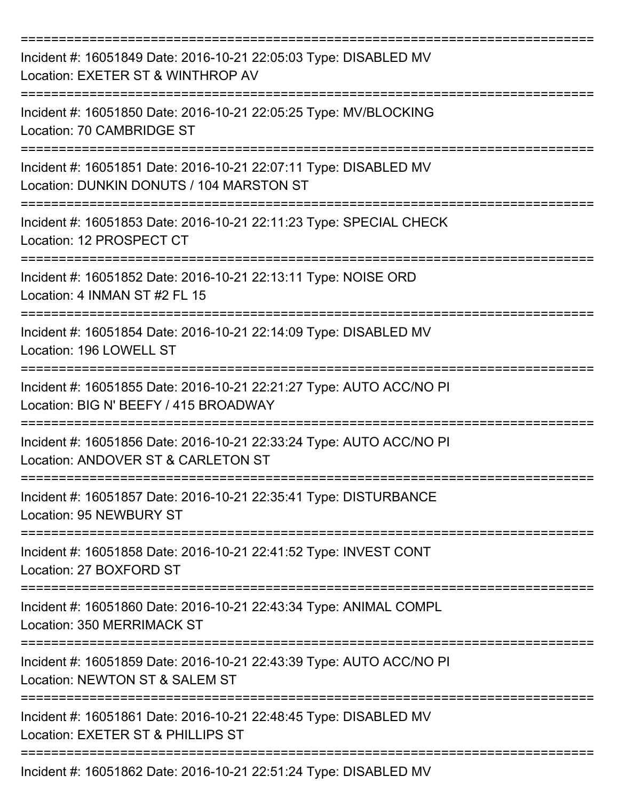| Incident #: 16051849 Date: 2016-10-21 22:05:03 Type: DISABLED MV<br>Location: EXETER ST & WINTHROP AV        |
|--------------------------------------------------------------------------------------------------------------|
| Incident #: 16051850 Date: 2016-10-21 22:05:25 Type: MV/BLOCKING<br>Location: 70 CAMBRIDGE ST                |
| Incident #: 16051851 Date: 2016-10-21 22:07:11 Type: DISABLED MV<br>Location: DUNKIN DONUTS / 104 MARSTON ST |
| Incident #: 16051853 Date: 2016-10-21 22:11:23 Type: SPECIAL CHECK<br>Location: 12 PROSPECT CT               |
| Incident #: 16051852 Date: 2016-10-21 22:13:11 Type: NOISE ORD<br>Location: 4 INMAN ST #2 FL 15              |
| Incident #: 16051854 Date: 2016-10-21 22:14:09 Type: DISABLED MV<br>Location: 196 LOWELL ST                  |
| Incident #: 16051855 Date: 2016-10-21 22:21:27 Type: AUTO ACC/NO PI<br>Location: BIG N' BEEFY / 415 BROADWAY |
| Incident #: 16051856 Date: 2016-10-21 22:33:24 Type: AUTO ACC/NO PI<br>Location: ANDOVER ST & CARLETON ST    |
| Incident #: 16051857 Date: 2016-10-21 22:35:41 Type: DISTURBANCE<br>Location: 95 NEWBURY ST                  |
| Incident #: 16051858 Date: 2016-10-21 22:41:52 Type: INVEST CONT<br>Location: 27 BOXFORD ST                  |
| Incident #: 16051860 Date: 2016-10-21 22:43:34 Type: ANIMAL COMPL<br>Location: 350 MERRIMACK ST              |
| Incident #: 16051859 Date: 2016-10-21 22:43:39 Type: AUTO ACC/NO PI<br>Location: NEWTON ST & SALEM ST        |
| Incident #: 16051861 Date: 2016-10-21 22:48:45 Type: DISABLED MV<br>Location: EXETER ST & PHILLIPS ST        |
| Incident #: 16051862 Date: 2016-10-21 22:51:24 Type: DISABLED MV                                             |